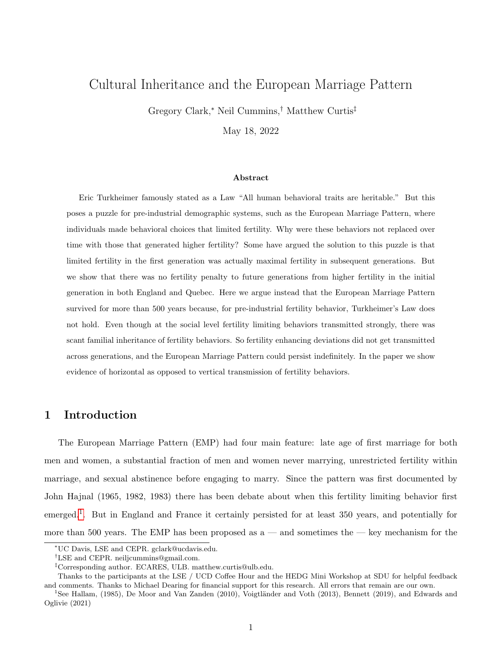# <span id="page-0-0"></span>Cultural Inheritance and the European Marriage Pattern

Gregory Clark,<sup>∗</sup> Neil Cummins,† Matthew Curtis‡

May 18, 2022

#### Abstract

Eric Turkheimer famously stated as a Law "All human behavioral traits are heritable." But this poses a puzzle for pre-industrial demographic systems, such as the European Marriage Pattern, where individuals made behavioral choices that limited fertility. Why were these behaviors not replaced over time with those that generated higher fertility? Some have argued the solution to this puzzle is that limited fertility in the first generation was actually maximal fertility in subsequent generations. But we show that there was no fertility penalty to future generations from higher fertility in the initial generation in both England and Quebec. Here we argue instead that the European Marriage Pattern survived for more than 500 years because, for pre-industrial fertility behavior, Turkheimer's Law does not hold. Even though at the social level fertility limiting behaviors transmitted strongly, there was scant familial inheritance of fertility behaviors. So fertility enhancing deviations did not get transmitted across generations, and the European Marriage Pattern could persist indefinitely. In the paper we show evidence of horizontal as opposed to vertical transmission of fertility behaviors.

## 1 Introduction

The European Marriage Pattern (EMP) had four main feature: late age of first marriage for both men and women, a substantial fraction of men and women never marrying, unrestricted fertility within marriage, and sexual abstinence before engaging to marry. Since the pattern was first documented by John Hajnal (1965, 1982, 1983) there has been debate about when this fertility limiting behavior first emerged.<sup>1</sup>. But in England and France it certainly persisted for at least 350 years, and potentially for more than 500 years. The EMP has been proposed as  $a$  — and sometimes the — key mechanism for the

<sup>∗</sup>UC Davis, LSE and CEPR. gclark@ucdavis.edu.

<sup>†</sup>LSE and CEPR. neiljcummins@gmail.com.

<sup>‡</sup>Corresponding author. ECARES, ULB. matthew.curtis@ulb.edu.

Thanks to the participants at the LSE / UCD Coffee Hour and the HEDG Mini Workshop at SDU for helpful feedback and comments. Thanks to Michael Dearing for financial support for this research. All errors that remain are our own.

 $1$ See Hallam, (1985), De Moor and Van Zanden (2010), Voigtländer and Voth (2013), Bennett (2019), and Edwards and Oglivie (2021)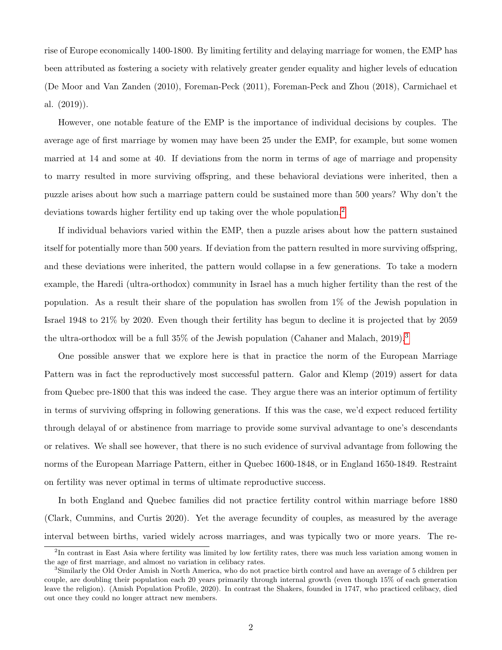rise of Europe economically 1400-1800. By limiting fertility and delaying marriage for women, the EMP has been attributed as fostering a society with relatively greater gender equality and higher levels of education (De Moor and Van Zanden (2010), Foreman-Peck (2011), Foreman-Peck and Zhou (2018), Carmichael et al. (2019)).

However, one notable feature of the EMP is the importance of individual decisions by couples. The average age of first marriage by women may have been 25 under the EMP, for example, but some women married at 14 and some at 40. If deviations from the norm in terms of age of marriage and propensity to marry resulted in more surviving offspring, and these behavioral deviations were inherited, then a puzzle arises about how such a marriage pattern could be sustained more than 500 years? Why don't the deviations towards higher fertility end up taking over the whole population.[2](#page-0-0)

If individual behaviors varied within the EMP, then a puzzle arises about how the pattern sustained itself for potentially more than 500 years. If deviation from the pattern resulted in more surviving offspring, and these deviations were inherited, the pattern would collapse in a few generations. To take a modern example, the Haredi (ultra-orthodox) community in Israel has a much higher fertility than the rest of the population. As a result their share of the population has swollen from 1% of the Jewish population in Israel 1948 to 21% by 2020. Even though their fertility has begun to decline it is projected that by 2059 the ultra-orthodox will be a full  $35\%$  $35\%$  of the Jewish population (Cahaner and Malach, 2019).<sup>3</sup>

One possible answer that we explore here is that in practice the norm of the European Marriage Pattern was in fact the reproductively most successful pattern. Galor and Klemp (2019) assert for data from Quebec pre-1800 that this was indeed the case. They argue there was an interior optimum of fertility in terms of surviving offspring in following generations. If this was the case, we'd expect reduced fertility through delayal of or abstinence from marriage to provide some survival advantage to one's descendants or relatives. We shall see however, that there is no such evidence of survival advantage from following the norms of the European Marriage Pattern, either in Quebec 1600-1848, or in England 1650-1849. Restraint on fertility was never optimal in terms of ultimate reproductive success.

In both England and Quebec families did not practice fertility control within marriage before 1880 (Clark, Cummins, and Curtis 2020). Yet the average fecundity of couples, as measured by the average interval between births, varied widely across marriages, and was typically two or more years. The re-

<sup>&</sup>lt;sup>2</sup>In contrast in East Asia where fertility was limited by low fertility rates, there was much less variation among women in the age of first marriage, and almost no variation in celibacy rates.

<sup>3</sup>Similarly the Old Order Amish in North America, who do not practice birth control and have an average of 5 children per couple, are doubling their population each 20 years primarily through internal growth (even though 15% of each generation leave the religion). (Amish Population Profile, 2020). In contrast the Shakers, founded in 1747, who practiced celibacy, died out once they could no longer attract new members.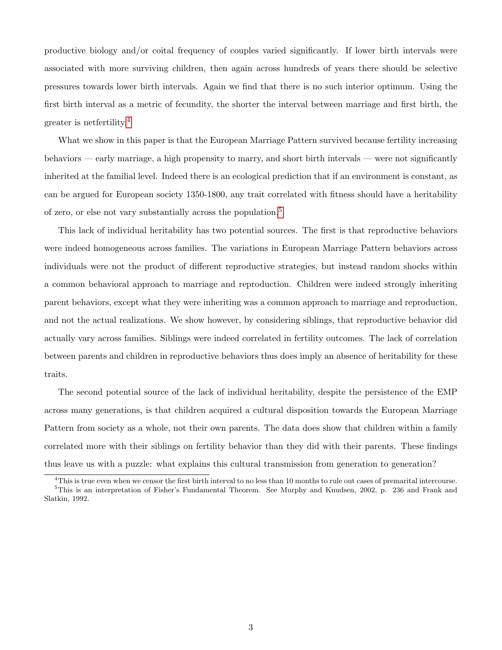productive biology and/or coital frequency of couples varied significantly. If lower birth intervals were associated with more surviving children, then again across hundreds of years there should be selective pressures towards lower birth intervals. Again we find that there is no such interior optimum. Using the first birth interval as a metric of fecundity, the shorter the interval between marriage and first birth, the greater is netfertility.[4](#page-0-0)

What we show in this paper is that the European Marriage Pattern survived because fertility increasing behaviors — early marriage, a high propensity to marry, and short birth intervals — were not significantly inherited at the familial level. Indeed there is an ecological prediction that if an environment is constant, as can be argued for European society 1350-1800, any trait correlated with fitness should have a heritability of zero, or else not vary substantially across the population.[5](#page-0-0)

This lack of individual heritability has two potential sources. The first is that reproductive behaviors were indeed homogeneous across families. The variations in European Marriage Pattern behaviors across individuals were not the product of different reproductive strategies, but instead random shocks within a common behavioral approach to marriage and reproduction. Children were indeed strongly inheriting parent behaviors, except what they were inheriting was a common approach to marriage and reproduction, and not the actual realizations. We show however, by considering siblings, that reproductive behavior did actually vary across families. Siblings were indeed correlated in fertility outcomes. The lack of correlation between parents and children in reproductive behaviors thus does imply an absence of heritability for these traits.

The second potential source of the lack of individual heritability, despite the persistence of the EMP across many generations, is that children acquired a cultural disposition towards the European Marriage Pattern from society as a whole, not their own parents. The data does show that children within a family correlated more with their siblings on fertility behavior than they did with their parents. These findings thus leave us with a puzzle: what explains this cultural transmission from generation to generation?

<sup>&</sup>lt;sup>4</sup>This is true even when we censor the first birth interval to no less than 10 months to rule out cases of premarital intercourse. <sup>5</sup>This is an interpretation of Fisher's Fundamental Theorem. See Murphy and Knudsen, 2002, p. 236 and Frank and Slatkin, 1992.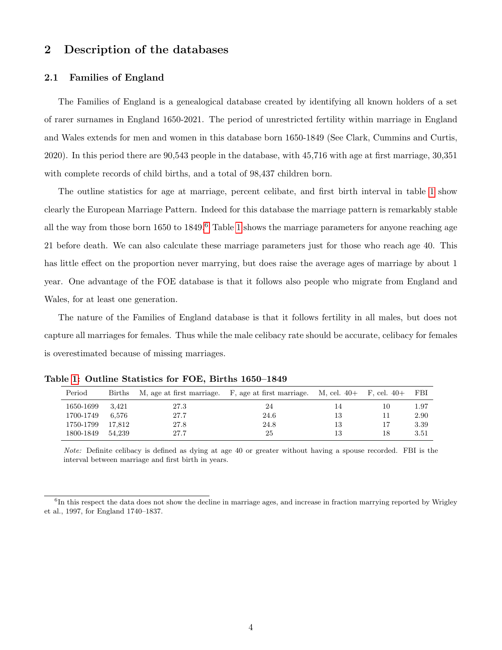# 2 Description of the databases

#### 2.1 Families of England

The Families of England is a genealogical database created by identifying all known holders of a set of rarer surnames in England 1650-2021. The period of unrestricted fertility within marriage in England and Wales extends for men and women in this database born 1650-1849 (See Clark, Cummins and Curtis, 2020). In this period there are 90,543 people in the database, with 45,716 with age at first marriage, 30,351 with complete records of child births, and a total of 98,437 children born.

The outline statistics for age at marriage, percent celibate, and first birth interval in table [1](#page-3-0) show clearly the European Marriage Pattern. Indeed for this database the marriage pattern is remarkably stable all the way from those born  $1650$  $1650$  $1650$  to  $1849$ .<sup>6</sup> Table [1](#page-3-0) shows the marriage parameters for anyone reaching age 21 before death. We can also calculate these marriage parameters just for those who reach age 40. This has little effect on the proportion never marrying, but does raise the average ages of marriage by about 1 year. One advantage of the FOE database is that it follows also people who migrate from England and Wales, for at least one generation.

The nature of the Families of England database is that it follows fertility in all males, but does not capture all marriages for females. Thus while the male celibacy rate should be accurate, celibacy for females is overestimated because of missing marriages.

| Period    | Births |      | M, age at first marriage. F, age at first marriage. M, cel. $40+$ F, cel. $40+$ |    |    | - FBI |
|-----------|--------|------|---------------------------------------------------------------------------------|----|----|-------|
| 1650-1699 | 3.421  | 27.3 | 24                                                                              | 14 | 10 | 1.97  |
| 1700-1749 | 6.576  | 27.7 | 24.6                                                                            | 13 | 11 | 2.90  |
| 1750-1799 | 17.812 | 27.8 | 24.8                                                                            | 13 | 17 | 3.39  |
| 1800-1849 | 54.239 | 27.7 | 25                                                                              | 13 | 18 | 3.51  |

<span id="page-3-0"></span>Table [1:](#page-3-0) Outline Statistics for FOE, Births 1650–1849

Note: Definite celibacy is defined as dying at age 40 or greater without having a spouse recorded. FBI is the interval between marriage and first birth in years.

<sup>&</sup>lt;sup>6</sup>In this respect the data does not show the decline in marriage ages, and increase in fraction marrying reported by Wrigley et al., 1997, for England 1740–1837.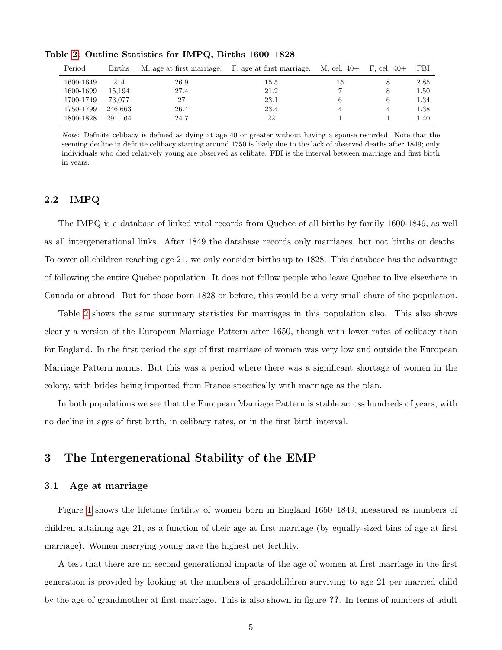| Period    | <b>Births</b> | M, age at first marriage. | F, age at first marriage. | M, cel. 40+ | $F,$ cel. $40+$ | FBI  |
|-----------|---------------|---------------------------|---------------------------|-------------|-----------------|------|
| 1600-1649 | 214           | 26.9                      | 15.5                      | 15          |                 | 2.85 |
| 1600-1699 | 15.194        | 27.4                      | 21.2                      |             | 8               | 1.50 |
| 1700-1749 | 73.077        | 27                        | 23.1                      |             | 6               | 1.34 |
| 1750-1799 | 246.663       | 26.4                      | 23.4                      |             | 4               | 1.38 |
| 1800-1828 | 291.164       | 24.7                      | 22                        |             |                 | 1.40 |

<span id="page-4-0"></span>Table [2:](#page-4-0) Outline Statistics for IMPQ, Births 1600–1828

Note: Definite celibacy is defined as dying at age 40 or greater without having a spouse recorded. Note that the seeming decline in definite celibacy starting around 1750 is likely due to the lack of observed deaths after 1849; only individuals who died relatively young are observed as celibate. FBI is the interval between marriage and first birth in years.

### 2.2 IMPQ

The IMPQ is a database of linked vital records from Quebec of all births by family 1600-1849, as well as all intergenerational links. After 1849 the database records only marriages, but not births or deaths. To cover all children reaching age 21, we only consider births up to 1828. This database has the advantage of following the entire Quebec population. It does not follow people who leave Quebec to live elsewhere in Canada or abroad. But for those born 1828 or before, this would be a very small share of the population.

Table [2](#page-4-0) shows the same summary statistics for marriages in this population also. This also shows clearly a version of the European Marriage Pattern after 1650, though with lower rates of celibacy than for England. In the first period the age of first marriage of women was very low and outside the European Marriage Pattern norms. But this was a period where there was a significant shortage of women in the colony, with brides being imported from France specifically with marriage as the plan.

In both populations we see that the European Marriage Pattern is stable across hundreds of years, with no decline in ages of first birth, in celibacy rates, or in the first birth interval.

## 3 The Intergenerational Stability of the EMP

#### 3.1 Age at marriage

Figure [1](#page-5-0) shows the lifetime fertility of women born in England 1650–1849, measured as numbers of children attaining age 21, as a function of their age at first marriage (by equally-sized bins of age at first marriage). Women marrying young have the highest net fertility.

A test that there are no second generational impacts of the age of women at first marriage in the first generation is provided by looking at the numbers of grandchildren surviving to age 21 per married child by the age of grandmother at first marriage. This is also shown in figure ??. In terms of numbers of adult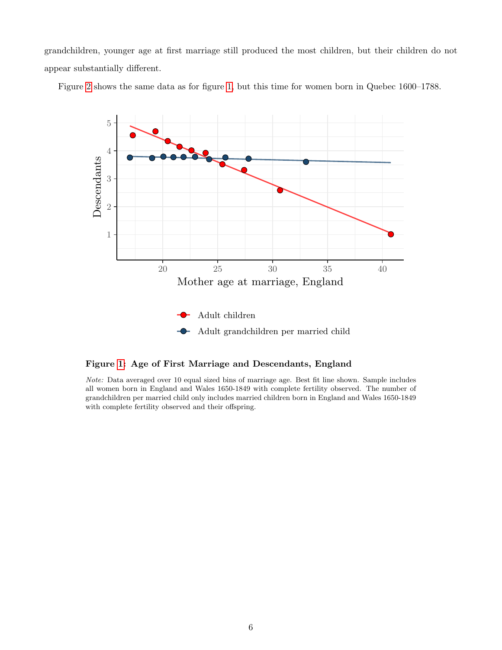grandchildren, younger age at first marriage still produced the most children, but their children do not appear substantially different.

<span id="page-5-0"></span>Figure [2](#page-6-0) shows the same data as for figure [1,](#page-5-0) but this time for women born in Quebec 1600–1788.



#### Figure [1:](#page-5-0) Age of First Marriage and Descendants, England

Note: Data averaged over 10 equal sized bins of marriage age. Best fit line shown. Sample includes all women born in England and Wales 1650-1849 with complete fertility observed. The number of grandchildren per married child only includes married children born in England and Wales 1650-1849 with complete fertility observed and their offspring.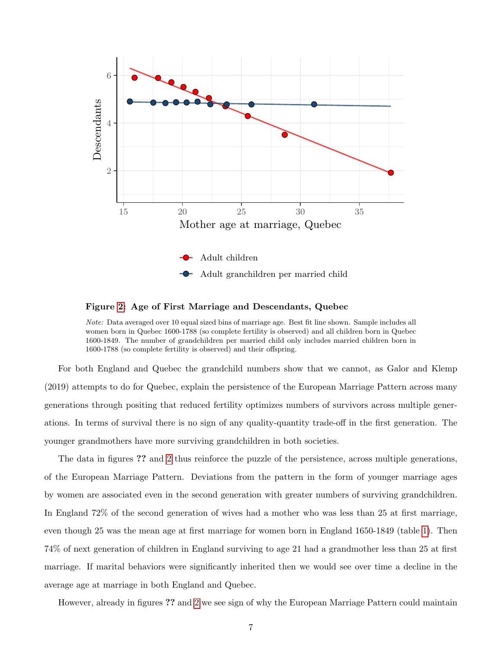<span id="page-6-0"></span>

Figure [2:](#page-6-0) Age of First Marriage and Descendants, Quebec

Note: Data averaged over 10 equal sized bins of marriage age. Best fit line shown. Sample includes all women born in Quebec 1600-1788 (so complete fertility is observed) and all children born in Quebec 1600-1849. The number of grandchildren per married child only includes married children born in 1600-1788 (so complete fertility is observed) and their offspring.

For both England and Quebec the grandchild numbers show that we cannot, as Galor and Klemp (2019) attempts to do for Quebec, explain the persistence of the European Marriage Pattern across many generations through positing that reduced fertility optimizes numbers of survivors across multiple generations. In terms of survival there is no sign of any quality-quantity trade-off in the first generation. The younger grandmothers have more surviving grandchildren in both societies.

The data in figures ?? and [2](#page-6-0) thus reinforce the puzzle of the persistence, across multiple generations, of the European Marriage Pattern. Deviations from the pattern in the form of younger marriage ages by women are associated even in the second generation with greater numbers of surviving grandchildren. In England 72% of the second generation of wives had a mother who was less than 25 at first marriage, even though 25 was the mean age at first marriage for women born in England 1650-1849 (table [1\)](#page-3-0). Then 74% of next generation of children in England surviving to age 21 had a grandmother less than 25 at first marriage. If marital behaviors were significantly inherited then we would see over time a decline in the average age at marriage in both England and Quebec.

However, already in figures ?? and [2](#page-6-0) we see sign of why the European Marriage Pattern could maintain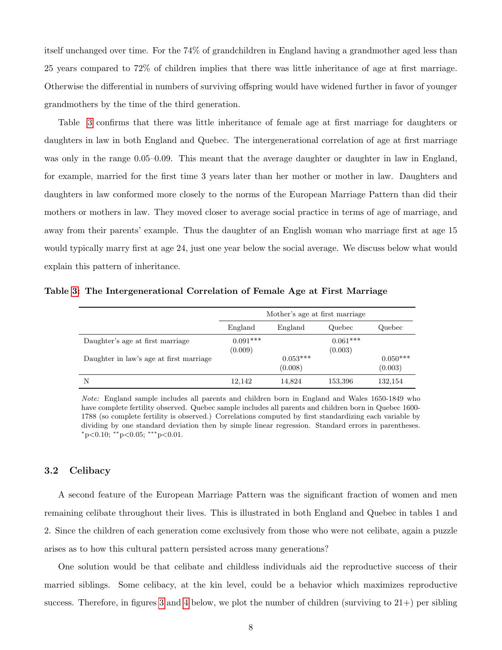itself unchanged over time. For the 74% of grandchildren in England having a grandmother aged less than 25 years compared to 72% of children implies that there was little inheritance of age at first marriage. Otherwise the differential in numbers of surviving offspring would have widened further in favor of younger grandmothers by the time of the third generation.

Table [3](#page-7-0) confirms that there was little inheritance of female age at first marriage for daughters or daughters in law in both England and Quebec. The intergenerational correlation of age at first marriage was only in the range 0.05–0.09. This meant that the average daughter or daughter in law in England, for example, married for the first time 3 years later than her mother or mother in law. Daughters and daughters in law conformed more closely to the norms of the European Marriage Pattern than did their mothers or mothers in law. They moved closer to average social practice in terms of age of marriage, and away from their parents' example. Thus the daughter of an English woman who marriage first at age 15 would typically marry first at age 24, just one year below the social average. We discuss below what would explain this pattern of inheritance.

|                                         | Mother's age at first marriage |                       |                       |                       |
|-----------------------------------------|--------------------------------|-----------------------|-----------------------|-----------------------|
|                                         | England                        | England               | Quebec                | Quebec                |
| Daughter's age at first marriage        | $0.091***$<br>(0.009)          |                       | $0.061***$<br>(0.003) |                       |
| Daughter in law's age at first marriage |                                | $0.053***$<br>(0.008) |                       | $0.050***$<br>(0.003) |
| N                                       | 12.142                         | 14.824                | 153,396               | 132,154               |

<span id="page-7-0"></span>Table [3:](#page-7-0) The Intergenerational Correlation of Female Age at First Marriage

Note: England sample includes all parents and children born in England and Wales 1650-1849 who have complete fertility observed. Quebec sample includes all parents and children born in Quebec 1600- 1788 (so complete fertility is observed.) Correlations computed by first standardizing each variable by dividing by one standard deviation then by simple linear regression. Standard errors in parentheses. <sup>∗</sup>p<0.10; ∗∗p<0.05; ∗∗∗p<0.01.

### 3.2 Celibacy

A second feature of the European Marriage Pattern was the significant fraction of women and men remaining celibate throughout their lives. This is illustrated in both England and Quebec in tables 1 and 2. Since the children of each generation come exclusively from those who were not celibate, again a puzzle arises as to how this cultural pattern persisted across many generations?

One solution would be that celibate and childless individuals aid the reproductive success of their married siblings. Some celibacy, at the kin level, could be a behavior which maximizes reproductive success. Therefore, in figures [3](#page-9-0) and [4](#page-10-0) below, we plot the number of children (surviving to  $21+$ ) per sibling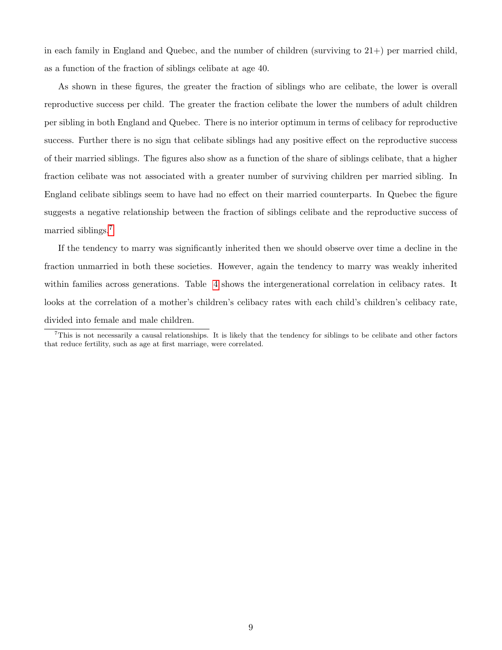in each family in England and Quebec, and the number of children (surviving to  $21+$ ) per married child, as a function of the fraction of siblings celibate at age 40.

As shown in these figures, the greater the fraction of siblings who are celibate, the lower is overall reproductive success per child. The greater the fraction celibate the lower the numbers of adult children per sibling in both England and Quebec. There is no interior optimum in terms of celibacy for reproductive success. Further there is no sign that celibate siblings had any positive effect on the reproductive success of their married siblings. The figures also show as a function of the share of siblings celibate, that a higher fraction celibate was not associated with a greater number of surviving children per married sibling. In England celibate siblings seem to have had no effect on their married counterparts. In Quebec the figure suggests a negative relationship between the fraction of siblings celibate and the reproductive success of married siblings.<sup>[7](#page-0-0)</sup>

If the tendency to marry was significantly inherited then we should observe over time a decline in the fraction unmarried in both these societies. However, again the tendency to marry was weakly inherited within families across generations. Table [4](#page-10-1) shows the intergenerational correlation in celibacy rates. It looks at the correlation of a mother's children's celibacy rates with each child's children's celibacy rate, divided into female and male children.

 $^7$ This is not necessarily a causal relationships. It is likely that the tendency for siblings to be celibate and other factors that reduce fertility, such as age at first marriage, were correlated.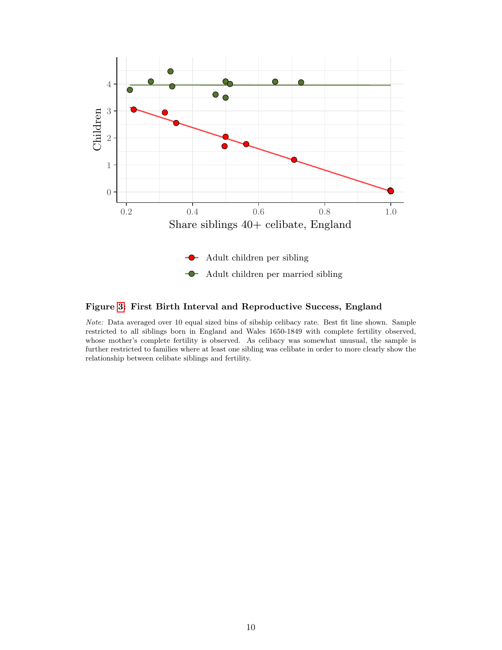<span id="page-9-0"></span>

## Figure [3:](#page-9-0) First Birth Interval and Reproductive Success, England

Note: Data averaged over 10 equal sized bins of sibship celibacy rate. Best fit line shown. Sample restricted to all siblings born in England and Wales 1650-1849 with complete fertility observed, whose mother's complete fertility is observed. As celibacy was somewhat unusual, the sample is further restricted to families where at least one sibling was celibate in order to more clearly show the relationship between celibate siblings and fertility.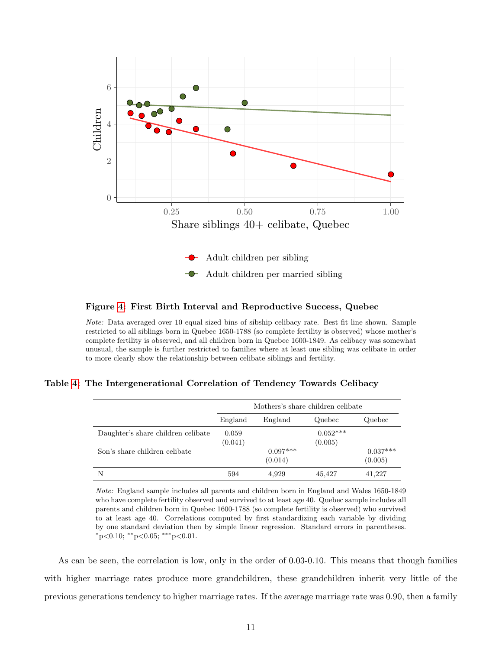<span id="page-10-0"></span>

#### Figure [4:](#page-10-0) First Birth Interval and Reproductive Success, Quebec

Note: Data averaged over 10 equal sized bins of sibship celibacy rate. Best fit line shown. Sample restricted to all siblings born in Quebec 1650-1788 (so complete fertility is observed) whose mother's complete fertility is observed, and all children born in Quebec 1600-1849. As celibacy was somewhat unusual, the sample is further restricted to families where at least one sibling was celibate in order to more clearly show the relationship between celibate siblings and fertility.

<span id="page-10-1"></span>Table [4:](#page-10-1) The Intergenerational Correlation of Tendency Towards Celibacy

|                                    | Mothers's share children celibate |                       |                       |                       |  |
|------------------------------------|-----------------------------------|-----------------------|-----------------------|-----------------------|--|
|                                    | England                           | England               | Quebec                | Quebec                |  |
| Daughter's share children celibate | 0.059<br>(0.041)                  |                       | $0.052***$<br>(0.005) |                       |  |
| Son's share children celibate      |                                   | $0.097***$<br>(0.014) |                       | $0.037***$<br>(0.005) |  |
| N                                  | 594                               | 4,929                 | 45,427                | 41.227                |  |

Note: England sample includes all parents and children born in England and Wales 1650-1849 who have complete fertility observed and survived to at least age 40. Quebec sample includes all parents and children born in Quebec 1600-1788 (so complete fertility is observed) who survived to at least age 40. Correlations computed by first standardizing each variable by dividing by one standard deviation then by simple linear regression. Standard errors in parentheses.  $*_{p<0.10;}$  \*\* $_{p<0.05;}$  \*\*\* $_{p<0.01.}$ 

As can be seen, the correlation is low, only in the order of 0.03-0.10. This means that though families with higher marriage rates produce more grandchildren, these grandchildren inherit very little of the previous generations tendency to higher marriage rates. If the average marriage rate was 0.90, then a family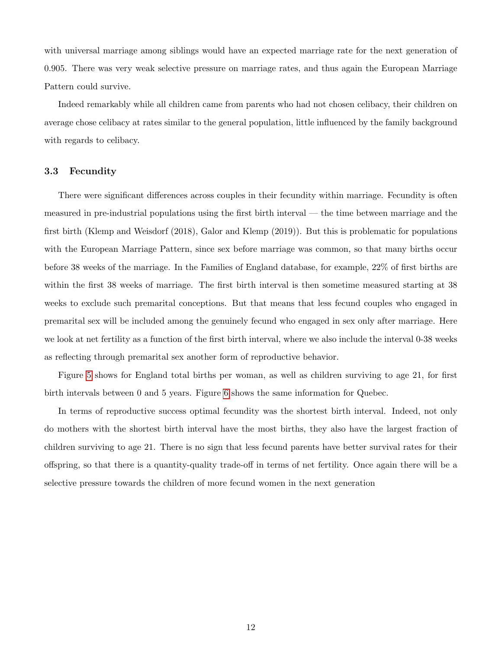with universal marriage among siblings would have an expected marriage rate for the next generation of 0.905. There was very weak selective pressure on marriage rates, and thus again the European Marriage Pattern could survive.

Indeed remarkably while all children came from parents who had not chosen celibacy, their children on average chose celibacy at rates similar to the general population, little influenced by the family background with regards to celibacy.

#### 3.3 Fecundity

There were significant differences across couples in their fecundity within marriage. Fecundity is often measured in pre-industrial populations using the first birth interval — the time between marriage and the first birth (Klemp and Weisdorf (2018), Galor and Klemp (2019)). But this is problematic for populations with the European Marriage Pattern, since sex before marriage was common, so that many births occur before 38 weeks of the marriage. In the Families of England database, for example, 22% of first births are within the first 38 weeks of marriage. The first birth interval is then sometime measured starting at 38 weeks to exclude such premarital conceptions. But that means that less fecund couples who engaged in premarital sex will be included among the genuinely fecund who engaged in sex only after marriage. Here we look at net fertility as a function of the first birth interval, where we also include the interval 0-38 weeks as reflecting through premarital sex another form of reproductive behavior.

Figure [5](#page-12-0) shows for England total births per woman, as well as children surviving to age 21, for first birth intervals between 0 and 5 years. Figure [6](#page-13-0) shows the same information for Quebec.

In terms of reproductive success optimal fecundity was the shortest birth interval. Indeed, not only do mothers with the shortest birth interval have the most births, they also have the largest fraction of children surviving to age 21. There is no sign that less fecund parents have better survival rates for their offspring, so that there is a quantity-quality trade-off in terms of net fertility. Once again there will be a selective pressure towards the children of more fecund women in the next generation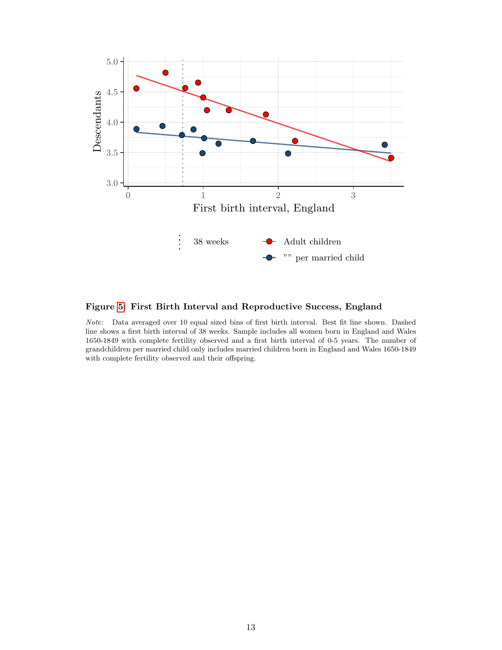<span id="page-12-0"></span>

## Figure [5:](#page-12-0) First Birth Interval and Reproductive Success, England

Note: Data averaged over 10 equal sized bins of first birth interval. Best fit line shown. Dashed line shows a first birth interval of 38 weeks. Sample includes all women born in England and Wales 1650-1849 with complete fertility observed and a first birth interval of 0-5 years. The number of grandchildren per married child only includes married children born in England and Wales 1650-1849 with complete fertility observed and their offspring.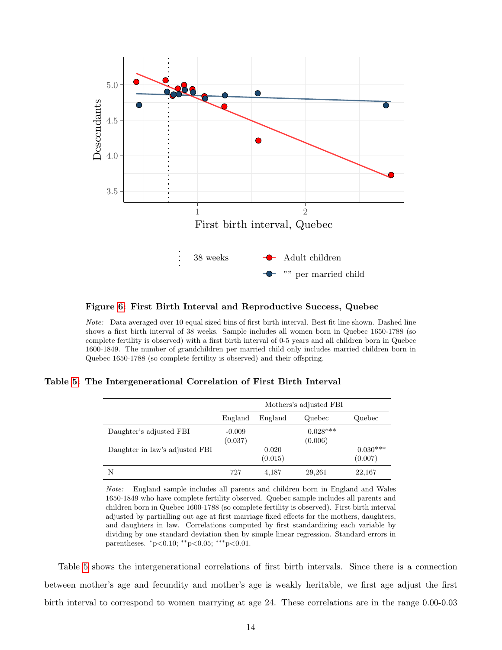<span id="page-13-0"></span>

### Figure [6:](#page-13-0) First Birth Interval and Reproductive Success, Quebec

Note: Data averaged over 10 equal sized bins of first birth interval. Best fit line shown. Dashed line shows a first birth interval of 38 weeks. Sample includes all women born in Quebec 1650-1788 (so complete fertility is observed) with a first birth interval of 0-5 years and all children born in Quebec 1600-1849. The number of grandchildren per married child only includes married children born in Quebec 1650-1788 (so complete fertility is observed) and their offspring.

<span id="page-13-1"></span>Table [5:](#page-13-1) The Intergenerational Correlation of First Birth Interval

|                                | Mothers's adjusted FBI |                  |                       |                       |
|--------------------------------|------------------------|------------------|-----------------------|-----------------------|
|                                | England                | England          | Quebec                | Quebec                |
| Daughter's adjusted FBI        | $-0.009$<br>(0.037)    |                  | $0.028***$<br>(0.006) |                       |
| Daughter in law's adjusted FBI |                        | 0.020<br>(0.015) |                       | $0.030***$<br>(0.007) |
| N                              | 727                    | 4,187            | 29,261                | 22,167                |

Note: England sample includes all parents and children born in England and Wales 1650-1849 who have complete fertility observed. Quebec sample includes all parents and children born in Quebec 1600-1788 (so complete fertility is observed). First birth interval adjusted by partialling out age at first marriage fixed effects for the mothers, daughters, and daughters in law. Correlations computed by first standardizing each variable by dividing by one standard deviation then by simple linear regression. Standard errors in parentheses.  $*p<0.10$ ;  $*p<0.05$ ;  $**p<0.01$ .

Table [5](#page-13-1) shows the intergenerational correlations of first birth intervals. Since there is a connection between mother's age and fecundity and mother's age is weakly heritable, we first age adjust the first birth interval to correspond to women marrying at age 24. These correlations are in the range 0.00-0.03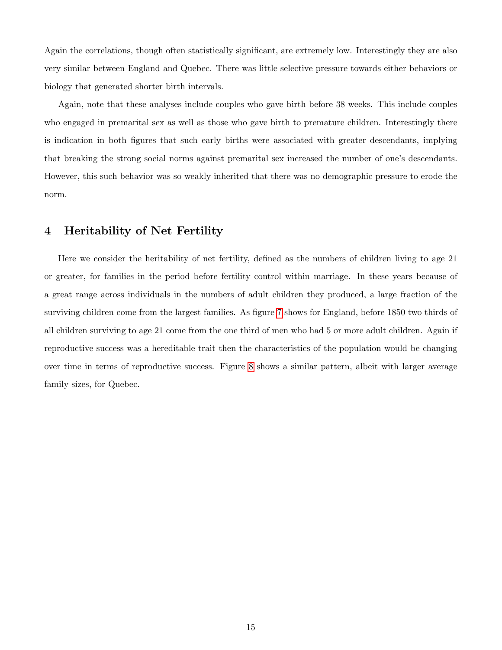Again the correlations, though often statistically significant, are extremely low. Interestingly they are also very similar between England and Quebec. There was little selective pressure towards either behaviors or biology that generated shorter birth intervals.

Again, note that these analyses include couples who gave birth before 38 weeks. This include couples who engaged in premarital sex as well as those who gave birth to premature children. Interestingly there is indication in both figures that such early births were associated with greater descendants, implying that breaking the strong social norms against premarital sex increased the number of one's descendants. However, this such behavior was so weakly inherited that there was no demographic pressure to erode the norm.

# 4 Heritability of Net Fertility

Here we consider the heritability of net fertility, defined as the numbers of children living to age 21 or greater, for families in the period before fertility control within marriage. In these years because of a great range across individuals in the numbers of adult children they produced, a large fraction of the surviving children come from the largest families. As figure [7](#page-15-0) shows for England, before 1850 two thirds of all children surviving to age 21 come from the one third of men who had 5 or more adult children. Again if reproductive success was a hereditable trait then the characteristics of the population would be changing over time in terms of reproductive success. Figure [8](#page-16-0) shows a similar pattern, albeit with larger average family sizes, for Quebec.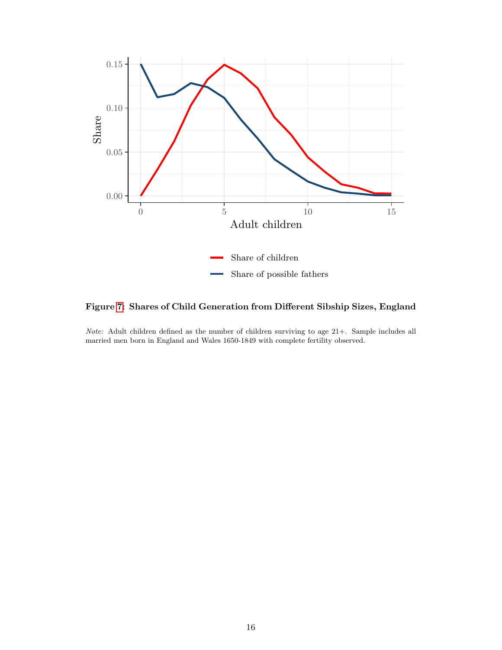<span id="page-15-0"></span>

Figure [7:](#page-15-0) Shares of Child Generation from Different Sibship Sizes, England

Note: Adult children defined as the number of children surviving to age 21+. Sample includes all married men born in England and Wales 1650-1849 with complete fertility observed.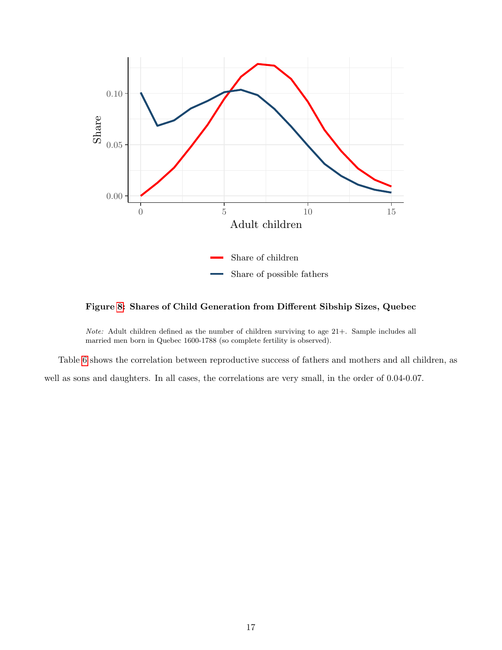<span id="page-16-0"></span>

Figure [8:](#page-16-0) Shares of Child Generation from Different Sibship Sizes, Quebec

Note: Adult children defined as the number of children surviving to age 21+. Sample includes all married men born in Quebec 1600-1788 (so complete fertility is observed).

Table [6](#page-17-0) shows the correlation between reproductive success of fathers and mothers and all children, as well as sons and daughters. In all cases, the correlations are very small, in the order of 0.04-0.07.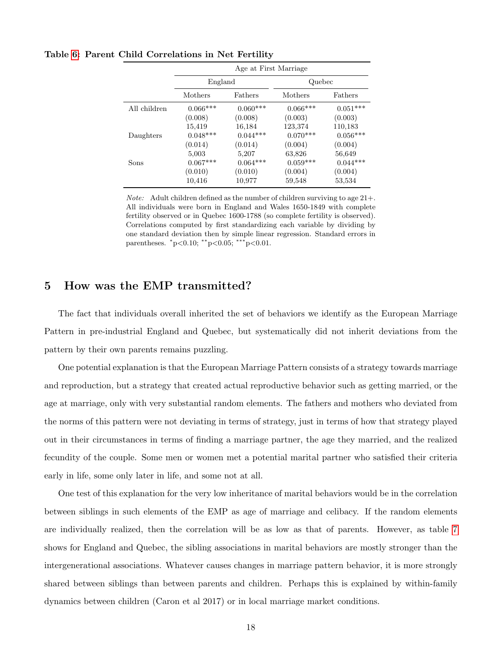|              | Age at First Marriage |            |            |            |
|--------------|-----------------------|------------|------------|------------|
|              | England               |            | Quebec     |            |
|              | Mothers<br>Fathers    |            | Mothers    | Fathers    |
| All children | $0.066***$            | $0.060***$ | $0.066***$ | $0.051***$ |
|              | (0.008)               | (0.008)    | (0.003)    | (0.003)    |
|              | 15,419                | 16,184     | 123,374    | 110,183    |
| Daughters    | $0.048***$            | $0.044***$ | $0.070***$ | $0.056***$ |
|              | (0.014)               | (0.014)    | (0.004)    | (0.004)    |
|              | 5,003                 | 5,207      | 63,826     | 56,649     |
| Sons         | $0.067***$            | $0.064***$ | $0.059***$ | $0.044***$ |
|              | (0.010)               | (0.010)    | (0.004)    | (0.004)    |
|              | 10,416                | 10.977     | 59,548     | 53,534     |

<span id="page-17-0"></span>Table [6:](#page-17-0) Parent Child Correlations in Net Fertility

*Note:* Adult children defined as the number of children surviving to age  $21+$ . All individuals were born in England and Wales 1650-1849 with complete fertility observed or in Quebec 1600-1788 (so complete fertility is observed). Correlations computed by first standardizing each variable by dividing by one standard deviation then by simple linear regression. Standard errors in parentheses.  $*p<0.10$ ;  $*p<0.05$ ;  $**p<0.01$ .

# 5 How was the EMP transmitted?

The fact that individuals overall inherited the set of behaviors we identify as the European Marriage Pattern in pre-industrial England and Quebec, but systematically did not inherit deviations from the pattern by their own parents remains puzzling.

One potential explanation is that the European Marriage Pattern consists of a strategy towards marriage and reproduction, but a strategy that created actual reproductive behavior such as getting married, or the age at marriage, only with very substantial random elements. The fathers and mothers who deviated from the norms of this pattern were not deviating in terms of strategy, just in terms of how that strategy played out in their circumstances in terms of finding a marriage partner, the age they married, and the realized fecundity of the couple. Some men or women met a potential marital partner who satisfied their criteria early in life, some only later in life, and some not at all.

One test of this explanation for the very low inheritance of marital behaviors would be in the correlation between siblings in such elements of the EMP as age of marriage and celibacy. If the random elements are individually realized, then the correlation will be as low as that of parents. However, as table [7](#page-18-0) shows for England and Quebec, the sibling associations in marital behaviors are mostly stronger than the intergenerational associations. Whatever causes changes in marriage pattern behavior, it is more strongly shared between siblings than between parents and children. Perhaps this is explained by within-family dynamics between children (Caron et al 2017) or in local marriage market conditions.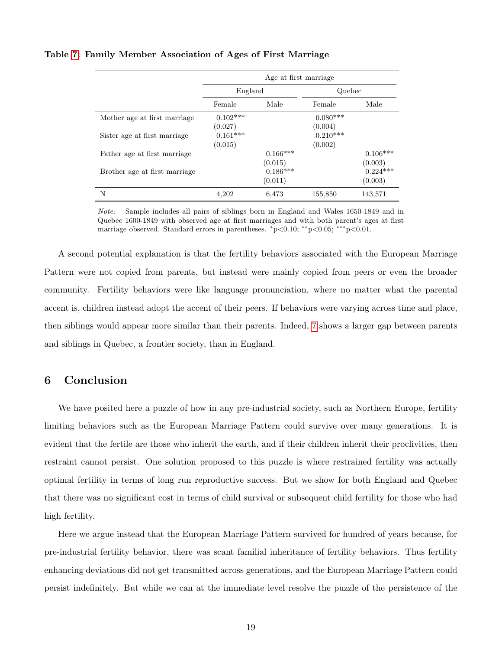### <span id="page-18-0"></span>Table [7:](#page-18-0) Family Member Association of Ages of First Marriage

|                               | Age at first marriage |            |            |            |
|-------------------------------|-----------------------|------------|------------|------------|
|                               | England               |            | Quebec     |            |
|                               | Female                | Male       | Female     | Male       |
| Mother age at first marriage. | $0.102***$            |            | $0.080***$ |            |
|                               | (0.027)               |            | (0.004)    |            |
| Sister age at first marriage  | $0.161***$            |            | $0.210***$ |            |
|                               | (0.015)               |            | (0.002)    |            |
| Father age at first marriage  |                       | $0.166***$ |            | $0.106***$ |
|                               |                       | (0.015)    |            | (0.003)    |
| Brother age at first marriage |                       | $0.186***$ |            | $0.224***$ |
|                               |                       | (0.011)    |            | (0.003)    |
| N                             | 4.202                 | 6,473      | 155,850    | 143,571    |

Note: Sample includes all pairs of siblings born in England and Wales 1650-1849 and in Quebec 1600-1849 with observed age at first marriages and with both parent's ages at first marriage observed. Standard errors in parentheses. <sup>∗</sup>p<0.10; ∗∗p<0.05; ∗∗∗p<0.01.

A second potential explanation is that the fertility behaviors associated with the European Marriage Pattern were not copied from parents, but instead were mainly copied from peers or even the broader community. Fertility behaviors were like language pronunciation, where no matter what the parental accent is, children instead adopt the accent of their peers. If behaviors were varying across time and place, then siblings would appear more similar than their parents. Indeed, [7](#page-18-0) shows a larger gap between parents and siblings in Quebec, a frontier society, than in England.

# 6 Conclusion

We have posited here a puzzle of how in any pre-industrial society, such as Northern Europe, fertility limiting behaviors such as the European Marriage Pattern could survive over many generations. It is evident that the fertile are those who inherit the earth, and if their children inherit their proclivities, then restraint cannot persist. One solution proposed to this puzzle is where restrained fertility was actually optimal fertility in terms of long run reproductive success. But we show for both England and Quebec that there was no significant cost in terms of child survival or subsequent child fertility for those who had high fertility.

Here we argue instead that the European Marriage Pattern survived for hundred of years because, for pre-industrial fertility behavior, there was scant familial inheritance of fertility behaviors. Thus fertility enhancing deviations did not get transmitted across generations, and the European Marriage Pattern could persist indefinitely. But while we can at the immediate level resolve the puzzle of the persistence of the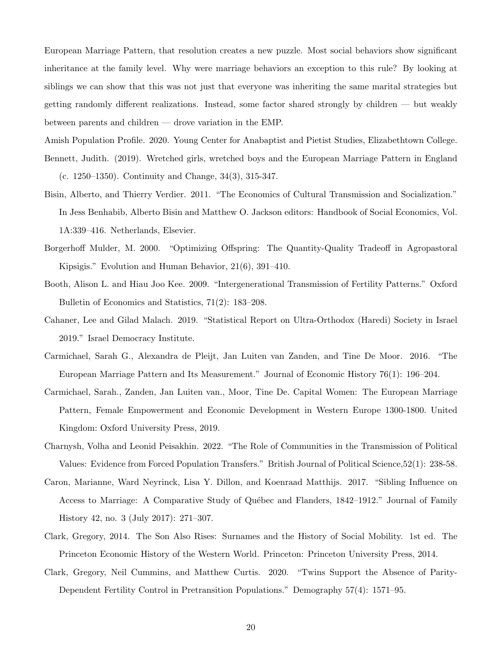European Marriage Pattern, that resolution creates a new puzzle. Most social behaviors show significant inheritance at the family level. Why were marriage behaviors an exception to this rule? By looking at siblings we can show that this was not just that everyone was inheriting the same marital strategies but getting randomly different realizations. Instead, some factor shared strongly by children — but weakly between parents and children — drove variation in the EMP.

Amish Population Profile. 2020. Young Center for Anabaptist and Pietist Studies, Elizabethtown College.

- Bennett, Judith. (2019). Wretched girls, wretched boys and the European Marriage Pattern in England (c. 1250–1350). Continuity and Change, 34(3), 315-347.
- Bisin, Alberto, and Thierry Verdier. 2011. "The Economics of Cultural Transmission and Socialization." In Jess Benhabib, Alberto Bisin and Matthew O. Jackson editors: Handbook of Social Economics, Vol. 1A:339–416. Netherlands, Elsevier.
- Borgerhoff Mulder, M. 2000. "Optimizing Offspring: The Quantity-Quality Tradeoff in Agropastoral Kipsigis." Evolution and Human Behavior, 21(6), 391–410.
- Booth, Alison L. and Hiau Joo Kee. 2009. "Intergenerational Transmission of Fertility Patterns." Oxford Bulletin of Economics and Statistics, 71(2): 183–208.
- Cahaner, Lee and Gilad Malach. 2019. "Statistical Report on Ultra-Orthodox (Haredi) Society in Israel 2019." Israel Democracy Institute.
- Carmichael, Sarah G., Alexandra de Pleijt, Jan Luiten van Zanden, and Tine De Moor. 2016. "The European Marriage Pattern and Its Measurement." Journal of Economic History 76(1): 196–204.
- Carmichael, Sarah., Zanden, Jan Luiten van., Moor, Tine De. Capital Women: The European Marriage Pattern, Female Empowerment and Economic Development in Western Europe 1300-1800. United Kingdom: Oxford University Press, 2019.
- Charnysh, Volha and Leonid Peisakhin. 2022. "The Role of Communities in the Transmission of Political Values: Evidence from Forced Population Transfers." British Journal of Political Science,52(1): 238-58.
- Caron, Marianne, Ward Neyrinck, Lisa Y. Dillon, and Koenraad Matthijs. 2017. "Sibling Influence on Access to Marriage: A Comparative Study of Québec and Flanders, 1842–1912." Journal of Family History 42, no. 3 (July 2017): 271–307.
- Clark, Gregory, 2014. The Son Also Rises: Surnames and the History of Social Mobility. 1st ed. The Princeton Economic History of the Western World. Princeton: Princeton University Press, 2014.
- Clark, Gregory, Neil Cummins, and Matthew Curtis. 2020. "Twins Support the Absence of Parity-Dependent Fertility Control in Pretransition Populations." Demography 57(4): 1571–95.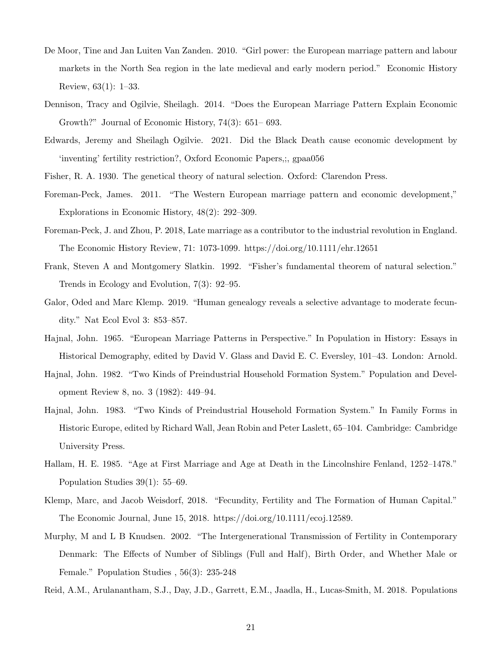- De Moor, Tine and Jan Luiten Van Zanden. 2010. "Girl power: the European marriage pattern and labour markets in the North Sea region in the late medieval and early modern period." Economic History Review, 63(1): 1–33.
- Dennison, Tracy and Ogilvie, Sheilagh. 2014. "Does the European Marriage Pattern Explain Economic Growth?" Journal of Economic History, 74(3): 651– 693.
- Edwards, Jeremy and Sheilagh Ogilvie. 2021. Did the Black Death cause economic development by 'inventing' fertility restriction?, Oxford Economic Papers,;, gpaa056
- Fisher, R. A. 1930. The genetical theory of natural selection. Oxford: Clarendon Press.
- Foreman-Peck, James. 2011. "The Western European marriage pattern and economic development," Explorations in Economic History, 48(2): 292–309.
- Foreman-Peck, J. and Zhou, P. 2018, Late marriage as a contributor to the industrial revolution in England. The Economic History Review, 71: 1073-1099. https://doi.org/10.1111/ehr.12651
- Frank, Steven A and Montgomery Slatkin. 1992. "Fisher's fundamental theorem of natural selection." Trends in Ecology and Evolution, 7(3): 92–95.
- Galor, Oded and Marc Klemp. 2019. "Human genealogy reveals a selective advantage to moderate fecundity." Nat Ecol Evol 3: 853–857.
- Hajnal, John. 1965. "European Marriage Patterns in Perspective." In Population in History: Essays in Historical Demography, edited by David V. Glass and David E. C. Eversley, 101–43. London: Arnold.
- Hajnal, John. 1982. "Two Kinds of Preindustrial Household Formation System." Population and Development Review 8, no. 3 (1982): 449–94.
- Hajnal, John. 1983. "Two Kinds of Preindustrial Household Formation System." In Family Forms in Historic Europe, edited by Richard Wall, Jean Robin and Peter Laslett, 65–104. Cambridge: Cambridge University Press.
- Hallam, H. E. 1985. "Age at First Marriage and Age at Death in the Lincolnshire Fenland, 1252–1478." Population Studies 39(1): 55–69.
- Klemp, Marc, and Jacob Weisdorf, 2018. "Fecundity, Fertility and The Formation of Human Capital." The Economic Journal, June 15, 2018. https://doi.org/10.1111/ecoj.12589.
- Murphy, M and L B Knudsen. 2002. "The Intergenerational Transmission of Fertility in Contemporary Denmark: The Effects of Number of Siblings (Full and Half), Birth Order, and Whether Male or Female." Population Studies , 56(3): 235-248
- Reid, A.M., Arulanantham, S.J., Day, J.D., Garrett, E.M., Jaadla, H., Lucas-Smith, M. 2018. Populations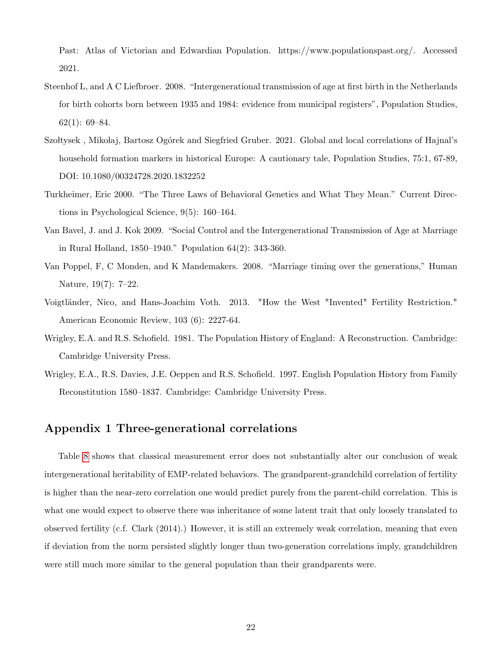Past: Atlas of Victorian and Edwardian Population. https://www.populationspast.org/. Accessed 2021.

- Steenhof L, and A C Liefbroer. 2008. "Intergenerational transmission of age at first birth in the Netherlands for birth cohorts born between 1935 and 1984: evidence from municipal registers", Population Studies, 62(1): 69–84.
- Szoltysek, Mikołaj, Bartosz Ogórek and Siegfried Gruber. 2021. Global and local correlations of Hajnal's household formation markers in historical Europe: A cautionary tale, Population Studies, 75:1, 67-89, DOI: 10.1080/00324728.2020.1832252
- Turkheimer, Eric 2000. "The Three Laws of Behavioral Genetics and What They Mean." Current Directions in Psychological Science, 9(5): 160–164.
- Van Bavel, J. and J. Kok 2009. "Social Control and the Intergenerational Transmission of Age at Marriage in Rural Holland, 1850–1940." Population 64(2): 343-360.
- Van Poppel, F, C Monden, and K Mandemakers. 2008. "Marriage timing over the generations," Human Nature, 19(7): 7–22.
- Voigtländer, Nico, and Hans-Joachim Voth. 2013. "How the West "Invented" Fertility Restriction." American Economic Review, 103 (6): 2227-64.
- Wrigley, E.A. and R.S. Schofield. 1981. The Population History of England: A Reconstruction. Cambridge: Cambridge University Press.
- Wrigley, E.A., R.S. Davies, J.E. Oeppen and R.S. Schofield. 1997. English Population History from Family Reconstitution 1580–1837. Cambridge: Cambridge University Press.

## Appendix 1 Three-generational correlations

Table [8](#page-22-0) shows that classical measurement error does not substantially alter our conclusion of weak intergenerational heritability of EMP-related behaviors. The grandparent-grandchild correlation of fertility is higher than the near-zero correlation one would predict purely from the parent-child correlation. This is what one would expect to observe there was inheritance of some latent trait that only loosely translated to observed fertility (c.f. Clark (2014).) However, it is still an extremely weak correlation, meaning that even if deviation from the norm persisted slightly longer than two-generation correlations imply, grandchildren were still much more similar to the general population than their grandparents were.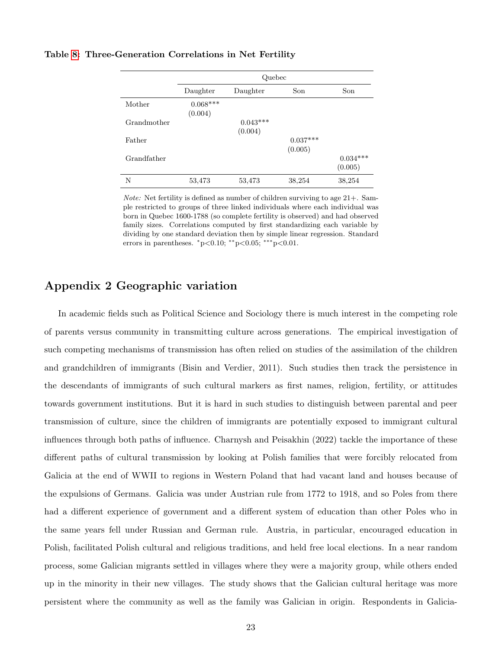#### <span id="page-22-0"></span>Table [8:](#page-22-0) Three-Generation Correlations in Net Fertility

|             | Quebec                     |                       |                       |                       |  |
|-------------|----------------------------|-----------------------|-----------------------|-----------------------|--|
|             | Daughter                   | Daughter              | Son                   | Son                   |  |
| Mother      | $0.068^{***}\,$<br>(0.004) |                       |                       |                       |  |
| Grandmother |                            | $0.043***$<br>(0.004) |                       |                       |  |
| Father      |                            |                       | $0.037***$<br>(0.005) |                       |  |
| Grandfather |                            |                       |                       | $0.034***$<br>(0.005) |  |
| N           | 53,473                     | 53,473                | 38,254                | 38,254                |  |

*Note:* Net fertility is defined as number of children surviving to age  $21+$ . Sample restricted to groups of three linked individuals where each individual was born in Quebec 1600-1788 (so complete fertility is observed) and had observed family sizes. Correlations computed by first standardizing each variable by dividing by one standard deviation then by simple linear regression. Standard errors in parentheses.  $*p<0.10$ ;  $**p<0.05$ ;  $**p<0.01$ .

# Appendix 2 Geographic variation

In academic fields such as Political Science and Sociology there is much interest in the competing role of parents versus community in transmitting culture across generations. The empirical investigation of such competing mechanisms of transmission has often relied on studies of the assimilation of the children and grandchildren of immigrants (Bisin and Verdier, 2011). Such studies then track the persistence in the descendants of immigrants of such cultural markers as first names, religion, fertility, or attitudes towards government institutions. But it is hard in such studies to distinguish between parental and peer transmission of culture, since the children of immigrants are potentially exposed to immigrant cultural influences through both paths of influence. Charnysh and Peisakhin (2022) tackle the importance of these different paths of cultural transmission by looking at Polish families that were forcibly relocated from Galicia at the end of WWII to regions in Western Poland that had vacant land and houses because of the expulsions of Germans. Galicia was under Austrian rule from 1772 to 1918, and so Poles from there had a different experience of government and a different system of education than other Poles who in the same years fell under Russian and German rule. Austria, in particular, encouraged education in Polish, facilitated Polish cultural and religious traditions, and held free local elections. In a near random process, some Galician migrants settled in villages where they were a majority group, while others ended up in the minority in their new villages. The study shows that the Galician cultural heritage was more persistent where the community as well as the family was Galician in origin. Respondents in Galicia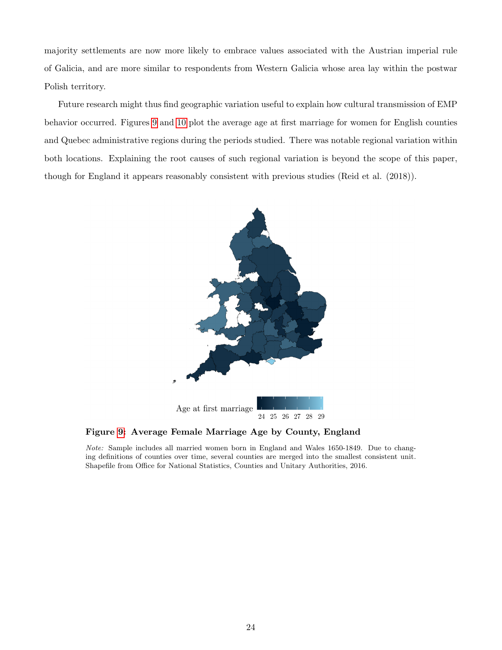majority settlements are now more likely to embrace values associated with the Austrian imperial rule of Galicia, and are more similar to respondents from Western Galicia whose area lay within the postwar Polish territory.

<span id="page-23-0"></span>Future research might thus find geographic variation useful to explain how cultural transmission of EMP behavior occurred. Figures [9](#page-23-0) and [10](#page-24-0) plot the average age at first marriage for women for English counties and Quebec administrative regions during the periods studied. There was notable regional variation within both locations. Explaining the root causes of such regional variation is beyond the scope of this paper, though for England it appears reasonably consistent with previous studies (Reid et al. (2018)).



Figure [9:](#page-23-0) Average Female Marriage Age by County, England

Note: Sample includes all married women born in England and Wales 1650-1849. Due to changing definitions of counties over time, several counties are merged into the smallest consistent unit. Shapefile from Office for National Statistics, Counties and Unitary Authorities, 2016.